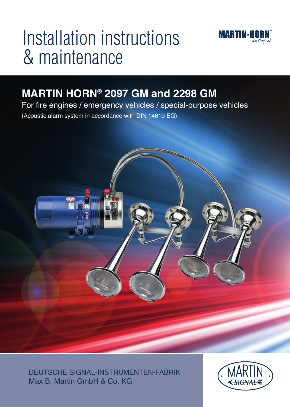

# Installation instructions & maintenance

# **MARTIN HORN® 2097 GM and 2298 GM**

For fire engines / emergency vehicles / special-purpose vehicles

(Acoustic alarm system in accordance with DIN 14610 EG)



DEUTSCHE SIGNAL-INSTRUMENTEN-FABRIK Max B. Martin GmbH & Co. KG

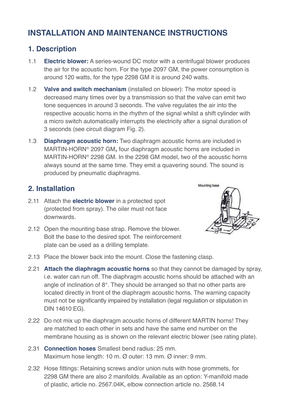# **INSTALLATION AND MAINTENANCE INSTRUCTIONS**

# **1. Description**

- 1.1 **Electric blower:** A series-wound DC motor with a centrifugal blower produces the air for the acoustic horn. For the type 2097 GM, the power consumption is around 120 watts, for the type 2298 GM it is around 240 watts.
- 1.2 **Valve and switch mechanism** (installed on blower): The motor speed is decreased many times over by a transmission so that the valve can emit two tone sequences in around 3 seconds. The valve regulates the air into the respective acoustic horns in the rhythm of the signal whilst a shift cylinder with a micro switch automatically interrupts the electricity after a signal duration of 3 seconds (see circuit diagram Fig. 2).
- 1.3 **Diaphragm acoustic horn:** Two diaphragm acoustic horns are included in MARTIN-HORN® 2097 GM, four diaphragm acoustic horns are included in MARTIN-HORN® 2298 GM. In the 2298 GM model, two of the acoustic horns always sound at the same time. They emit a quavering sound. The sound is produced by pneumatic diaphragms.

# **2. Installation**

- 2.11 Attach the **electric blower** in a protected spot (protected from spray). The oiler must not face downwards.
- 2.12 Open the mounting base strap. Remove the blower. Bolt the base to the desired spot. The reinforcement plate can be used as a drilling template.



- 2.13 Place the blower back into the mount. Close the fastening clasp.
- 2.21 **Attach the diaphragm acoustic horns** so that they cannot be damaged by spray, i.e. water can run off. The diaphragm acoustic horns should be attached with an angle of inclination of 8°. They should be arranged so that no other parts are located directly in front of the diaphragm acoustic horns. The warning capacity must not be significantly impaired by installation (legal regulation or stipulation in DIN 14610 EG).
- 2.22 Do not mix up the diaphragm acoustic horns of different MARTIN horns! They are matched to each other in sets and have the same end number on the membrane housing as is shown on the relevant electric blower (see rating plate).
- 2.31 **Connection hoses** Smallest bend radius: 25 mm. Maximum hose length: 10 m. Ø outer: 13 mm. Ø inner: 9 mm.
- 2.32 Hose fittings: Retaining screws and/or union nuts with hose grommets, for 2298 GM there are also 2 manifolds. Available as an option: Y-manifold made of plastic, article no. 2567.04K, elbow connection article no. 2568.14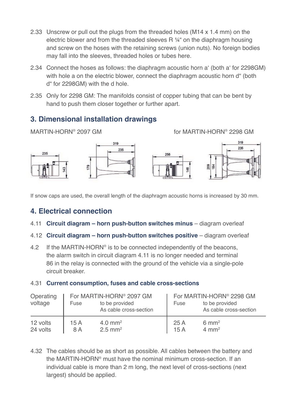- 2.33 Unscrew or pull out the plugs from the threaded holes (M14 x 1.4 mm) on the electric blower and from the threaded sleeves R ¼" on the diaphragm housing and screw on the hoses with the retaining screws (union nuts). No foreign bodies may fall into the sleeves, threaded holes or tubes here.
- 2.34 Connect the hoses as follows: the diaphragm acoustic horn a' (both a' for 2298GM) with hole a on the electric blower, connect the diaphragm acoustic horn d" (both d" for 2298GM) with the d hole.
- 2.35 Only for 2298 GM: The manifolds consist of copper tubing that can be bent by hand to push them closer together or further apart.

# **3. Dimensional installation drawings**

MARTIN-HORN® 2097 GM **the set of MARTIN-HORN® 2298 GM** 



If snow caps are used, the overall length of the diaphragm acoustic horns is increased by 30 mm.

# **4. Electrical connection**

- 4.11 **Circuit diagram horn push-button switches minus** diagram overleaf
- 4.12 **Circuit diagram horn push-button switches positive** diagram overleaf
- 4.2 If the MARTIN-HORN<sup>®</sup> is to be connected independently of the beacons, the alarm switch in circuit diagram 4.11 is no longer needed and terminal 86 in the relay is connected with the ground of the vehicle via a single-pole circuit breaker.

#### 4.31 **Current consumption, fuses and cable cross-sections**

| Operating<br>voltage | Fuse | For MARTIN-HORN <sup>®</sup> 2097 GM<br>to be provided<br>As cable cross-section | Fuse | For MARTIN-HORN <sup>®</sup> 2298 GM<br>to be provided<br>As cable cross-section |
|----------------------|------|----------------------------------------------------------------------------------|------|----------------------------------------------------------------------------------|
| 12 volts             | 15A  | $4.0 \text{ mm}^2$                                                               | 25 A | $6 \text{ mm}^2$                                                                 |
| 24 volts             | 8 A  | $2.5$ mm <sup>2</sup>                                                            | 15A  | $4 \text{ mm}^2$                                                                 |

4.32 The cables should be as short as possible. All cables between the battery and the MARTIN-HORN® must have the nominal minimum cross-section. If an individual cable is more than 2 m long, the next level of cross-sections (next largest) should be applied.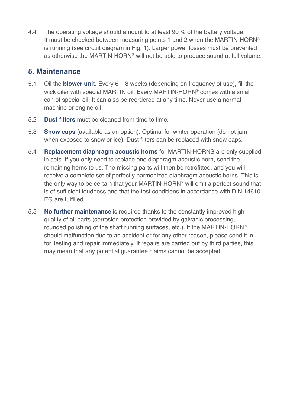4.4 The operating voltage should amount to at least 90 % of the battery voltage. It must be checked between measuring points 1 and 2 when the MARTIN-HORN® is running (see circuit diagram in Fig. 1). Larger power losses must be prevented as otherwise the MARTIN-HORN® will not be able to produce sound at full volume.

#### **5. Maintenance**

- 5.1 Oil the **blower unit**. Every 6 8 weeks (depending on frequency of use), fill the wick oiler with special MARTIN oil. Every MARTIN-HORN® comes with a small can of special oil. It can also be reordered at any time. Never use a normal machine or engine oil!
- 5.2 **Dust filters** must be cleaned from time to time.
- 5.3 **Snow caps** (available as an option). Optimal for winter operation (do not jam when exposed to snow or ice). Dust filters can be replaced with snow caps.
- 5.4 **Replacement diaphragm acoustic horns** for MARTIN-HORNS are only supplied in sets. If you only need to replace one diaphragm acoustic horn, send the remaining horns to us. The missing parts will then be retrofitted, and you will receive a complete set of perfectly harmonized diaphragm acoustic horns. This is the only way to be certain that your MARTIN-HORN® will emit a perfect sound that is of sufficient loudness and that the test conditions in accordance with DIN 14610 EG are fulfilled.
- 5.5 **No further maintenance** is required thanks to the constantly improved high quality of all parts (corrosion protection provided by galvanic processing, rounded polishing of the shaft running surfaces, etc.). If the MARTIN-HORN® should malfunction due to an accident or for any other reason, please send it in for testing and repair immediately. If repairs are carried out by third parties, this may mean that any potential guarantee claims cannot be accepted.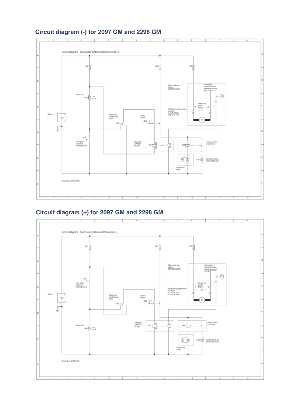#### **Circuit diagram (-) for 2097 GM and 2298 GM**



#### **Circuit diagram (+) for 2097 GM and 2298 GM**